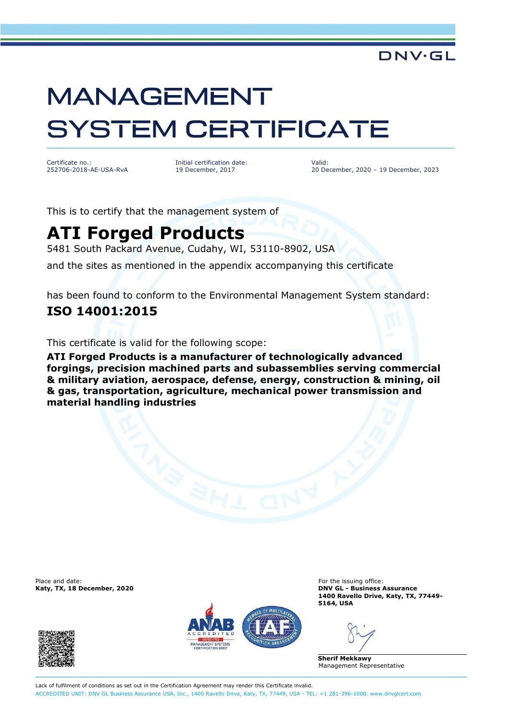### **DNV·GL**

# **MANAGEMENT SYSTEM CERTIFICATE**

Certificate no.: 252706-2018-AE-USA-RvA Initial certification date: 19 December, 2017

Valid: 20 December, 2020 – 19 December, 2023

This is to certify that the management system of

## **ATI Forged Products**

5481 South Packard Avenue, Cudahy, WI, 53110-8902, USA

and the sites as mentioned in the appendix accompanying this certificate

has been found to conform to the Environmental Management System standard:

#### **ISO 14001:2015**

This certificate is valid for the following scope:

**ATI Forged Products is a manufacturer of technologically advanced forgings, precision machined parts and subassemblies serving commercial & military aviation, aerospace, defense, energy, construction & mining, oil & gas, transportation, agriculture, mechanical power transmission and material handling industries**

Place and date:<br> **For the issuing office:** For the issuing office:<br> **For the issuing office:** For the issuing office:<br> **For the issuing office:** 





**Katy, TX, 18 December, 2020 DNV GL - Business Assurance 1400 Ravello Drive, Katy, TX, 77449- 5164, USA**

**Sherif Mekkawy** Management Representative

Lack of fulfilment of conditions as set out in the Certification Agreement may render this Certificate invalid. ACCREDITED UNIT: DNV GL Business Assurance USA, Inc., 1400 Ravello Drive, Katy, TX, 77449, USA - TEL: +1 281-396-1000. [www.dnvglcert.com](http://www.dnvglcert.com)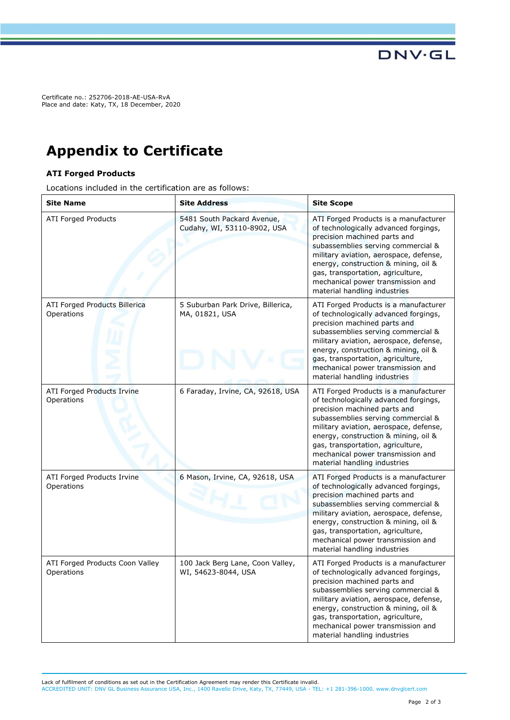Certificate no.: 252706-2018-AE-USA-RvA Place and date: Katy, TX, 18 December, 2020

## **Appendix to Certificate**

#### **ATI Forged Products**

Locations included in the certification are as follows:

| <b>Site Name</b>                              | <b>Site Address</b>                                       | <b>Site Scope</b>                                                                                                                                                                                                                                                                                                                                |
|-----------------------------------------------|-----------------------------------------------------------|--------------------------------------------------------------------------------------------------------------------------------------------------------------------------------------------------------------------------------------------------------------------------------------------------------------------------------------------------|
| <b>ATI Forged Products</b>                    | 5481 South Packard Avenue,<br>Cudahy, WI, 53110-8902, USA | ATI Forged Products is a manufacturer<br>of technologically advanced forgings,<br>precision machined parts and<br>subassemblies serving commercial &<br>military aviation, aerospace, defense,<br>energy, construction & mining, oil &<br>gas, transportation, agriculture,<br>mechanical power transmission and<br>material handling industries |
| ATI Forged Products Billerica<br>Operations   | 5 Suburban Park Drive, Billerica,<br>MA, 01821, USA       | ATI Forged Products is a manufacturer<br>of technologically advanced forgings,<br>precision machined parts and<br>subassemblies serving commercial &<br>military aviation, aerospace, defense,<br>energy, construction & mining, oil &<br>gas, transportation, agriculture,<br>mechanical power transmission and<br>material handling industries |
| ATI Forged Products Irvine<br>Operations      | 6 Faraday, Irvine, CA, 92618, USA                         | ATI Forged Products is a manufacturer<br>of technologically advanced forgings,<br>precision machined parts and<br>subassemblies serving commercial &<br>military aviation, aerospace, defense,<br>energy, construction & mining, oil &<br>gas, transportation, agriculture,<br>mechanical power transmission and<br>material handling industries |
| ATI Forged Products Irvine<br>Operations      | 6 Mason, Irvine, CA, 92618, USA                           | ATI Forged Products is a manufacturer<br>of technologically advanced forgings,<br>precision machined parts and<br>subassemblies serving commercial &<br>military aviation, aerospace, defense,<br>energy, construction & mining, oil &<br>gas, transportation, agriculture,<br>mechanical power transmission and<br>material handling industries |
| ATI Forged Products Coon Valley<br>Operations | 100 Jack Berg Lane, Coon Valley,<br>WI, 54623-8044, USA   | ATI Forged Products is a manufacturer<br>of technologically advanced forgings,<br>precision machined parts and<br>subassemblies serving commercial &<br>military aviation, aerospace, defense,<br>energy, construction & mining, oil &<br>gas, transportation, agriculture,<br>mechanical power transmission and<br>material handling industries |

Lack of fulfilment of conditions as set out in the Certification Agreement may render this Certificate invalid. ACCREDITED UNIT: DNV GL Business Assurance USA, Inc., 1400 Ravello Drive, Katy, TX, 77449, USA - TEL: +1 281-396-1000. [www.dnvglcert.com](http://www.dnvglcert.com)

**DNV·GL**